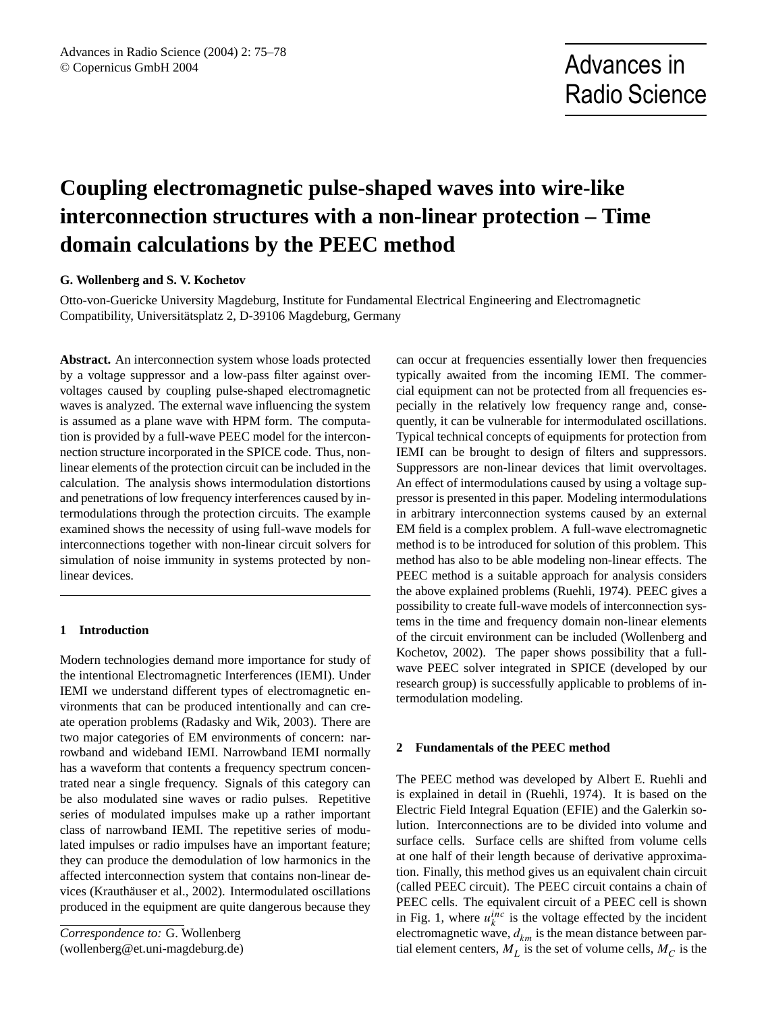# **Coupling electromagnetic pulse-shaped waves into wire-like interconnection structures with a non-linear protection – Time domain calculations by the PEEC method**

# **G. Wollenberg and S. V. Kochetov**

Otto-von-Guericke University Magdeburg, Institute for Fundamental Electrical Engineering and Electromagnetic Compatibility, Universitätsplatz 2, D-39106 Magdeburg, Germany

**Abstract.** An interconnection system whose loads protected by a voltage suppressor and a low-pass filter against overvoltages caused by coupling pulse-shaped electromagnetic waves is analyzed. The external wave influencing the system is assumed as a plane wave with HPM form. The computation is provided by a full-wave PEEC model for the interconnection structure incorporated in the SPICE code. Thus, nonlinear elements of the protection circuit can be included in the calculation. The analysis shows intermodulation distortions and penetrations of low frequency interferences caused by intermodulations through the protection circuits. The example examined shows the necessity of using full-wave models for interconnections together with non-linear circuit solvers for simulation of noise immunity in systems protected by nonlinear devices.

## **1 Introduction**

Modern technologies demand more importance for study of the intentional Electromagnetic Interferences (IEMI). Under IEMI we understand different types of electromagnetic environments that can be produced intentionally and can create operation problems (Radasky and Wik, 2003). There are two major categories of EM environments of concern: narrowband and wideband IEMI. Narrowband IEMI normally has a waveform that contents a frequency spectrum concentrated near a single frequency. Signals of this category can be also modulated sine waves or radio pulses. Repetitive series of modulated impulses make up a rather important class of narrowband IEMI. The repetitive series of modulated impulses or radio impulses have an important feature; they can produce the demodulation of low harmonics in the affected interconnection system that contains non-linear devices (Krauthäuser et al., 2002). Intermodulated oscillations produced in the equipment are quite dangerous because they

*Correspondence to:* G. Wollenberg (wollenberg@et.uni-magdeburg.de) can occur at frequencies essentially lower then frequencies typically awaited from the incoming IEMI. The commercial equipment can not be protected from all frequencies especially in the relatively low frequency range and, consequently, it can be vulnerable for intermodulated oscillations. Typical technical concepts of equipments for protection from IEMI can be brought to design of filters and suppressors. Suppressors are non-linear devices that limit overvoltages. An effect of intermodulations caused by using a voltage suppressor is presented in this paper. Modeling intermodulations in arbitrary interconnection systems caused by an external EM field is a complex problem. A full-wave electromagnetic method is to be introduced for solution of this problem. This method has also to be able modeling non-linear effects. The PEEC method is a suitable approach for analysis considers the above explained problems (Ruehli, 1974). PEEC gives a possibility to create full-wave models of interconnection systems in the time and frequency domain non-linear elements of the circuit environment can be included (Wollenberg and Kochetov, 2002). The paper shows possibility that a fullwave PEEC solver integrated in SPICE (developed by our research group) is successfully applicable to problems of intermodulation modeling.

## **2 Fundamentals of the PEEC method**

The PEEC method was developed by Albert E. Ruehli and is explained in detail in (Ruehli, 1974). It is based on the Electric Field Integral Equation (EFIE) and the Galerkin solution. Interconnections are to be divided into volume and surface cells. Surface cells are shifted from volume cells at one half of their length because of derivative approximation. Finally, this method gives us an equivalent chain circuit (called PEEC circuit). The PEEC circuit contains a chain of PEEC cells. The equivalent circuit of a PEEC cell is shown in Fig. 1, where  $u_k^{inc}$  is the voltage effected by the incident electromagnetic wave,  $d_{km}$  is the mean distance between partial element centers,  $M_L$  is the set of volume cells,  $M_C$  is the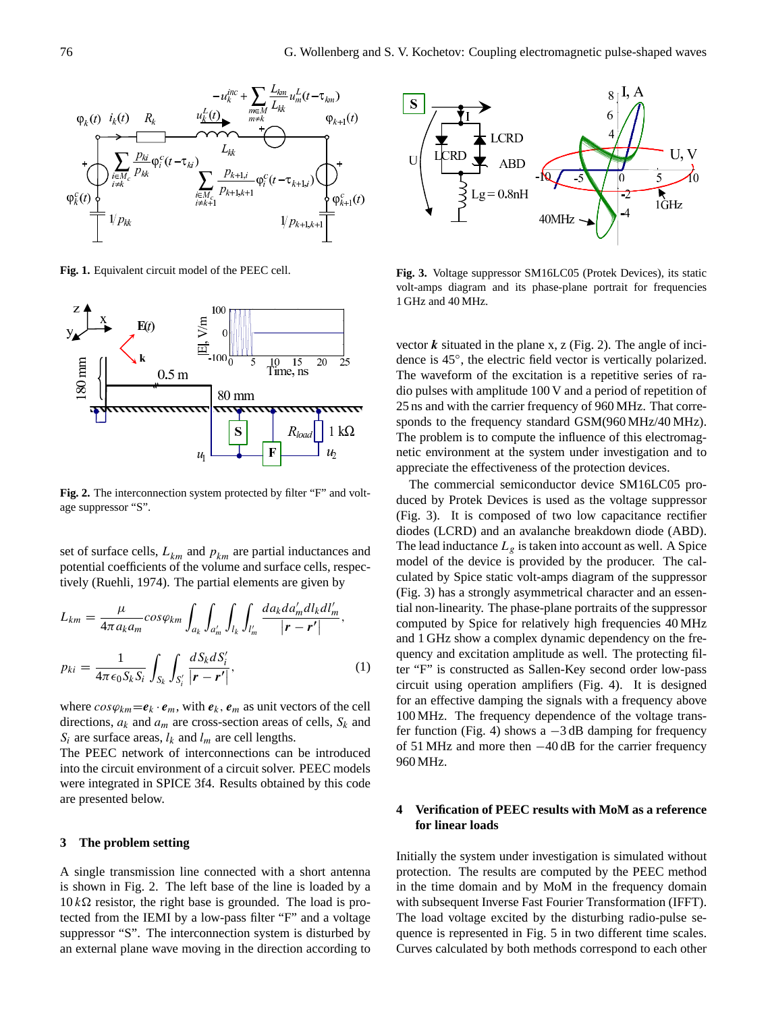

**Fig. 1.** Equivalent circuit model of the PEEC cell.



**Fig. 2.** The interconnection system protected by filter "F" and voltage suppressor "S".

set of surface cells,  $L_{km}$  and  $p_{km}$  are partial inductances and potential coefficients of the volume and surface cells, respectively (Ruehli, 1974). The partial elements are given by

$$
L_{km} = \frac{\mu}{4\pi a_k a_m} \cos\varphi_{km} \int_{a_k} \int_{a'_m} \int_{l_k} \int_{l'_m} \frac{da_k da'_m dl_k dl'_m}{|\mathbf{r} - \mathbf{r}'|},
$$
  
\n
$$
p_{ki} = \frac{1}{4\pi \epsilon_0 S_k S_i} \int_{S_k} \int_{S'_i} \frac{dS_k dS'_i}{|\mathbf{r} - \mathbf{r}'|},
$$
\n(1)

where  $cos\varphi_{km} = \mathbf{e}_k \cdot \mathbf{e}_m$ , with  $\mathbf{e}_k$ ,  $\mathbf{e}_m$  as unit vectors of the cell directions,  $a_k$  and  $a_m$  are cross-section areas of cells,  $S_k$  and  $S_i$  are surface areas,  $l_k$  and  $l_m$  are cell lengths.

The PEEC network of interconnections can be introduced into the circuit environment of a circuit solver. PEEC models were integrated in SPICE 3f4. Results obtained by this code are presented below.

#### **3 The problem setting**

A single transmission line connected with a short antenna is shown in Fig. 2. The left base of the line is loaded by a  $10 k\Omega$  resistor, the right base is grounded. The load is protected from the IEMI by a low-pass filter "F" and a voltage suppressor "S". The interconnection system is disturbed by an external plane wave moving in the direction according to



**Fig. 3.** Voltage suppressor SM16LC05 (Protek Devices), its static volt-amps diagram and its phase-plane portrait for frequencies 1 GHz and 40 MHz.

vector  $k$  situated in the plane x, z (Fig. 2). The angle of incidence is 45◦ , the electric field vector is vertically polarized. The waveform of the excitation is a repetitive series of radio pulses with amplitude 100 V and a period of repetition of 25 ns and with the carrier frequency of 960 MHz. That corresponds to the frequency standard GSM(960 MHz/40 MHz). The problem is to compute the influence of this electromagnetic environment at the system under investigation and to appreciate the effectiveness of the protection devices.

The commercial semiconductor device SM16LC05 produced by Protek Devices is used as the voltage suppressor (Fig. 3). It is composed of two low capacitance rectifier diodes (LCRD) and an avalanche breakdown diode (ABD). The lead inductance  $L_g$  is taken into account as well. A Spice model of the device is provided by the producer. The calculated by Spice static volt-amps diagram of the suppressor (Fig. 3) has a strongly asymmetrical character and an essential non-linearity. The phase-plane portraits of the suppressor computed by Spice for relatively high frequencies 40 MHz and 1 GHz show a complex dynamic dependency on the frequency and excitation amplitude as well. The protecting filter "F" is constructed as Sallen-Key second order low-pass circuit using operation amplifiers (Fig. 4). It is designed for an effective damping the signals with a frequency above 100 MHz. The frequency dependence of the voltage transfer function (Fig. 4) shows a  $-3$  dB damping for frequency of 51 MHz and more then −40 dB for the carrier frequency 960 MHz.

# **4 Verification of PEEC results with MoM as a reference for linear loads**

Initially the system under investigation is simulated without protection. The results are computed by the PEEC method in the time domain and by MoM in the frequency domain with subsequent Inverse Fast Fourier Transformation (IFFT). The load voltage excited by the disturbing radio-pulse sequence is represented in Fig. 5 in two different time scales. Curves calculated by both methods correspond to each other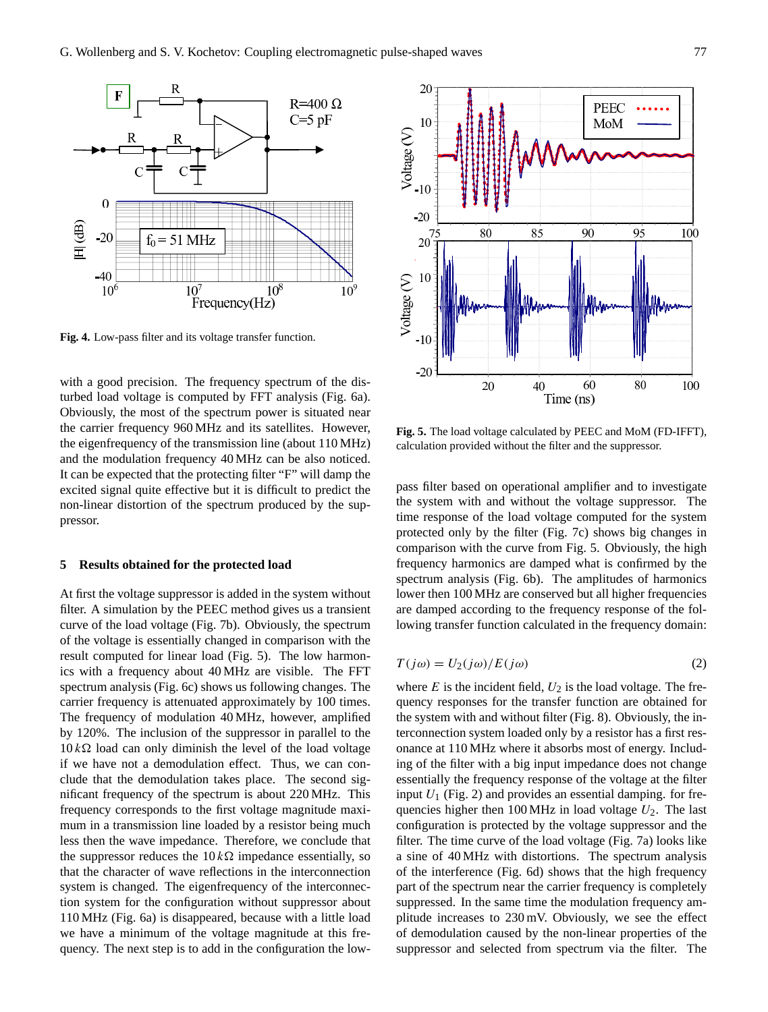

**Fig. 4.** Low-pass filter and its voltage transfer function.

with a good precision. The frequency spectrum of the disturbed load voltage is computed by FFT analysis (Fig. 6a). Obviously, the most of the spectrum power is situated near the carrier frequency 960 MHz and its satellites. However, the eigenfrequency of the transmission line (about 110 MHz) and the modulation frequency 40 MHz can be also noticed. It can be expected that the protecting filter "F" will damp the excited signal quite effective but it is difficult to predict the non-linear distortion of the spectrum produced by the suppressor.

#### **5 Results obtained for the protected load**

At first the voltage suppressor is added in the system without filter. A simulation by the PEEC method gives us a transient curve of the load voltage (Fig. 7b). Obviously, the spectrum of the voltage is essentially changed in comparison with the result computed for linear load (Fig. 5). The low harmonics with a frequency about 40 MHz are visible. The FFT spectrum analysis (Fig. 6c) shows us following changes. The carrier frequency is attenuated approximately by 100 times. The frequency of modulation 40 MHz, however, amplified by 120%. The inclusion of the suppressor in parallel to the  $10 k\Omega$  load can only diminish the level of the load voltage if we have not a demodulation effect. Thus, we can conclude that the demodulation takes place. The second significant frequency of the spectrum is about 220 MHz. This frequency corresponds to the first voltage magnitude maximum in a transmission line loaded by a resistor being much less then the wave impedance. Therefore, we conclude that the suppressor reduces the  $10 k\Omega$  impedance essentially, so that the character of wave reflections in the interconnection system is changed. The eigenfrequency of the interconnection system for the configuration without suppressor about 110 MHz (Fig. 6a) is disappeared, because with a little load we have a minimum of the voltage magnitude at this frequency. The next step is to add in the configuration the low-



**Fig. 5.** The load voltage calculated by PEEC and MoM (FD-IFFT), calculation provided without the filter and the suppressor.

pass filter based on operational amplifier and to investigate the system with and without the voltage suppressor. The time response of the load voltage computed for the system protected only by the filter (Fig. 7c) shows big changes in comparison with the curve from Fig. 5. Obviously, the high frequency harmonics are damped what is confirmed by the spectrum analysis (Fig. 6b). The amplitudes of harmonics lower then 100 MHz are conserved but all higher frequencies are damped according to the frequency response of the following transfer function calculated in the frequency domain:

$$
T(j\omega) = U_2(j\omega)/E(j\omega)
$$
 (2)

where  $E$  is the incident field,  $U_2$  is the load voltage. The frequency responses for the transfer function are obtained for the system with and without filter (Fig. 8). Obviously, the interconnection system loaded only by a resistor has a first resonance at 110 MHz where it absorbs most of energy. Including of the filter with a big input impedance does not change essentially the frequency response of the voltage at the filter input  $U_1$  (Fig. 2) and provides an essential damping. for frequencies higher then  $100 \text{ MHz}$  in load voltage  $U_2$ . The last configuration is protected by the voltage suppressor and the filter. The time curve of the load voltage (Fig. 7a) looks like a sine of 40 MHz with distortions. The spectrum analysis of the interference (Fig. 6d) shows that the high frequency part of the spectrum near the carrier frequency is completely suppressed. In the same time the modulation frequency amplitude increases to 230 mV. Obviously, we see the effect of demodulation caused by the non-linear properties of the suppressor and selected from spectrum via the filter. The